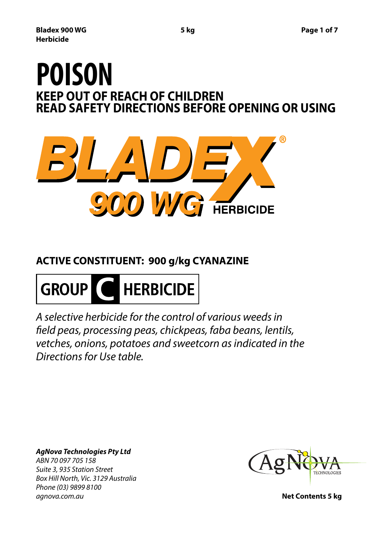# **KEEP OUT OF REACH OF CHILDREN READ SAFETY DIRECTIONS BEFORE OPENING OR USING POISON**



# **ACTIVE CONSTITUENT: 900 g/kg CYANAZINE**



*A selective herbicide for the control of various weeds in field peas, processing peas, chickpeas, faba beans, lentils, vetches, onions, potatoes and sweetcorn as indicated in the Directions for Use table.*

*AgNova Technologies Pty Ltd ABN 70 097 705 158 Suite 3, 935 Station Street Box Hill North, Vic. 3129 Australia Phone (03) 9899 8100 agnova.com.au* **Net Contents 5 kg**

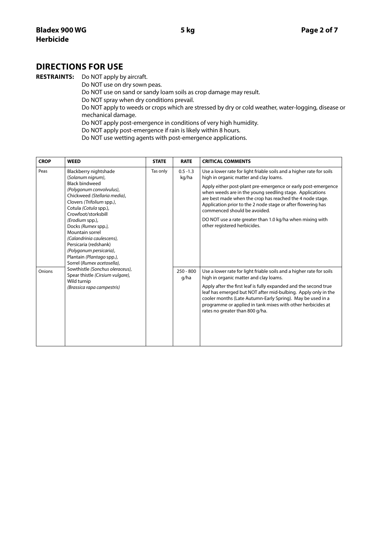## **DIRECTIONS FOR USE**

**RESTRAINTS:** Do NOT apply by aircraft.

 Do NOT use on dry sown peas. Do NOT use on sand or sandy loam soils as crop damage may result. Do NOT spray when dry conditions prevail. Do NOT apply to weeds or crops which are stressed by dry or cold weather, water-logging, disease or mechanical damage. Do NOT apply post-emergence in conditions of very high humidity. Do NOT apply post-emergence if rain is likely within 8 hours.

Do NOT use wetting agents with post-emergence applications.

| <b>CROP</b> | <b>WEED</b>                                                                                                                                                                                                                                                                                                                                                                                                                                                                                                                               | <b>STATE</b> | <b>RATE</b>                                 | <b>CRITICAL COMMENTS</b>                                                                                                                                                                                                                                                                                                                                                                                            |
|-------------|-------------------------------------------------------------------------------------------------------------------------------------------------------------------------------------------------------------------------------------------------------------------------------------------------------------------------------------------------------------------------------------------------------------------------------------------------------------------------------------------------------------------------------------------|--------------|---------------------------------------------|---------------------------------------------------------------------------------------------------------------------------------------------------------------------------------------------------------------------------------------------------------------------------------------------------------------------------------------------------------------------------------------------------------------------|
| Peas        | Blackberry nightshade<br>(Solanum nigrum),<br><b>Black bindweed</b><br>(Polygonum convolvulus),<br>Chickweed (Stellaria media),<br>Clovers (Trifolium spp.),<br>Cotula (Cotula spp.),<br>Crowfoot/storksbill<br>(Erodium spp.),<br>Docks (Rumex spp.),<br>Mountain sorrel<br>(Calandrinia caulescens),<br>Persicaria (redshank)<br>(Polygonum persicaria),<br>Plantain (Plantago spp.),<br>Sorrel (Rumex acetosella),<br>Sowthistle (Sonchus oleraceus),<br>Spear thistle (Cirsium vulgare),<br>Wild turnip<br>(Brassica rapa campestris) | Tas only     | $0.5 - 1.3$<br>kg/ha<br>$250 - 800$<br>g/ha | Use a lower rate for light friable soils and a higher rate for soils<br>high in organic matter and clay loams.                                                                                                                                                                                                                                                                                                      |
|             |                                                                                                                                                                                                                                                                                                                                                                                                                                                                                                                                           |              |                                             | Apply either post-plant pre-emergence or early post-emergence<br>when weeds are in the young seedling stage. Applications<br>are best made when the crop has reached the 4 node stage.<br>Application prior to the 2 node stage or after flowering has<br>commenced should be avoided.                                                                                                                              |
|             |                                                                                                                                                                                                                                                                                                                                                                                                                                                                                                                                           |              |                                             | DO NOT use a rate greater than 1.0 kg/ha when mixing with<br>other registered herbicides.                                                                                                                                                                                                                                                                                                                           |
| Onions      |                                                                                                                                                                                                                                                                                                                                                                                                                                                                                                                                           |              |                                             | Use a lower rate for light friable soils and a higher rate for soils<br>high in organic matter and clay loams.<br>Apply after the first leaf is fully expanded and the second true<br>leaf has emerged but NOT after mid-bulbing. Apply only in the<br>cooler months (Late Autumn-Early Spring). May be used in a<br>programme or applied in tank mixes with other herbicides at<br>rates no greater than 800 g/ha. |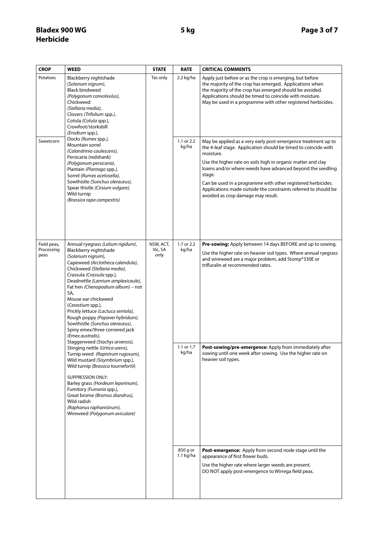| <b>CROP</b>                       | <b>WEED</b>                                                                                                                                                                                                                                                                                                                                                                                                                                                                                                                                                                                                                                                                                                                                                                                                                                                                       | <b>STATE</b>                 | <b>RATE</b>             | <b>CRITICAL COMMENTS</b>                                                                                                                                                                                                                                                                                                                                                                     |
|-----------------------------------|-----------------------------------------------------------------------------------------------------------------------------------------------------------------------------------------------------------------------------------------------------------------------------------------------------------------------------------------------------------------------------------------------------------------------------------------------------------------------------------------------------------------------------------------------------------------------------------------------------------------------------------------------------------------------------------------------------------------------------------------------------------------------------------------------------------------------------------------------------------------------------------|------------------------------|-------------------------|----------------------------------------------------------------------------------------------------------------------------------------------------------------------------------------------------------------------------------------------------------------------------------------------------------------------------------------------------------------------------------------------|
| Potatoes<br>Sweetcorn             | Blackberry nightshade<br>(Solanum nigrum),<br><b>Black bindweed</b><br>(Polygonum convolvulus),<br>Chickweed<br>(Stellaria media),<br>Clovers (Trifolium spp.),<br>Cotula (Cotula spp.),<br>Crowfoot/storksbill<br>(Erodium spp.),<br>Docks (Rumex spp.),<br>Mountain sorrel                                                                                                                                                                                                                                                                                                                                                                                                                                                                                                                                                                                                      | Tas only                     | 2.2 kg/ha<br>1.1 or 2.2 | Apply just before or as the crop is emerging, but before<br>the majority of the crop has emerged. Applications when<br>the majority of the crop has emerged should be avoided.<br>Applications should be timed to coincide with moisture.<br>May be used in a programme with other registered herbicides.<br>May be applied as a very early post-emergence treatment up to                   |
|                                   | (Calandrinia caulescens),<br>Persicaria (redshank)<br>(Polygonum persicaria),<br>Plantain (Plantago spp.),<br>Sorrel (Rumex acetosella),<br>Sowthistle (Sonchus oleraceus),<br>Spear thistle (Cirsium vulgare),<br>Wild turnip<br>(Brassica rapa campestris)                                                                                                                                                                                                                                                                                                                                                                                                                                                                                                                                                                                                                      |                              | kg/ha                   | the 4-leaf stage. Application should be timed to coincide with<br>moisture.<br>Use the higher rate on soils high in organic matter and clay<br>loams and/or where weeds have advanced beyond the seedling<br>stage.<br>Can be used in a programme with other registered herbicides.<br>Applications made outside the constraints referred to should be<br>avoided as crop damage may result. |
| Field peas,<br>Processing<br>peas | Annual ryegrass (Lolium rigidum),<br>Blackberry nightshade<br>(Solanum nigrum),<br>Capeweed (Arctotheca calendula),<br>Chickweed (Stellaria media),<br>Crassula (Crassula spp.),<br>Deadnettle (Lamium amplexicaule),<br>Fat hen (Chenopodium album) - not<br>SA,<br>Mouse ear chickweed<br>(Cerastium spp.),<br>Prickly lettuce (Lactuca serriola),<br>Rough poppy (Papaver hybridum),<br>Sowthistle (Sonchus oleraceus),<br>Spiny emex/three cornered jack<br>(Emex australis),<br>Staggerweed (Stachys arvensis),<br>Stinging nettle (Urtica urens),<br>Turnip weed (Rapistrum rugosum),<br>Wild mustard (Sisymbrium spp.),<br>Wild turnip (Brassica tournefortii)<br><b>SUPPRESSION ONLY:</b><br>Barley grass (Hordeum leporinum),<br>Fumitory (Fumaria spp.),<br>Great brome (Bromus diandrus),<br>Wild radish<br>(Raphanus raphanistrum),<br>Wireweed (Polygonum aviculare) | NSW, ACT,<br>Vic, SA<br>only | 1.7 or 2.2<br>kg/ha     | Pre-sowing: Apply between 14 days BEFORE and up to sowing.<br>Use the higher rate on heavier soil types. Where annual ryegrass<br>and wireweed are a major problem, add Stomp*330E or<br>trifluralin at recommended rates.                                                                                                                                                                   |
|                                   |                                                                                                                                                                                                                                                                                                                                                                                                                                                                                                                                                                                                                                                                                                                                                                                                                                                                                   |                              | 1.1 or 1.7<br>kg/ha     | <b>Post-sowing/pre-emergence:</b> Apply from immediately after<br>sowing until one week after sowing. Use the higher rate on<br>heavier soil types.                                                                                                                                                                                                                                          |
|                                   |                                                                                                                                                                                                                                                                                                                                                                                                                                                                                                                                                                                                                                                                                                                                                                                                                                                                                   |                              | 850 g or<br>1.1 kg/ha   | Post-emergence: Apply from second node stage until the<br>appearance of first flower buds.<br>Use the higher rate where larger weeds are present.<br>DO NOT apply post-emergence to Wirrega field peas.                                                                                                                                                                                      |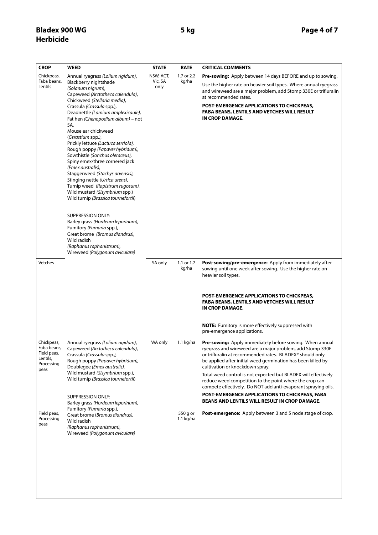| <b>CROP</b>                                                                | <b>WEED</b>                                                                                                                                                                                                                                                                                                                                                                                     | <b>STATE</b>    | <b>RATE</b>             | <b>CRITICAL COMMENTS</b>                                                                                                                                                                                                                                                                                                                                                                                                                                                           |
|----------------------------------------------------------------------------|-------------------------------------------------------------------------------------------------------------------------------------------------------------------------------------------------------------------------------------------------------------------------------------------------------------------------------------------------------------------------------------------------|-----------------|-------------------------|------------------------------------------------------------------------------------------------------------------------------------------------------------------------------------------------------------------------------------------------------------------------------------------------------------------------------------------------------------------------------------------------------------------------------------------------------------------------------------|
| Chickpeas,                                                                 | Annual ryegrass (Lolium rigidum),                                                                                                                                                                                                                                                                                                                                                               | NSW, ACT,       | 1.7 or 2.2              | Pre-sowing: Apply between 14 days BEFORE and up to sowing.                                                                                                                                                                                                                                                                                                                                                                                                                         |
| Faba beans,<br>Lentils                                                     | Blackberry nightshade<br>(Solanum nigrum),<br>Capeweed (Arctotheca calendula),                                                                                                                                                                                                                                                                                                                  | Vic, SA<br>only | kg/ha                   | Use the higher rate on heavier soil types. Where annual ryegrass<br>and wireweed are a major problem, add Stomp 330E or trifluralin<br>at recommended rates.                                                                                                                                                                                                                                                                                                                       |
|                                                                            | Chickweed (Stellaria media),<br>Crassula (Crassula spp.),<br>Deadnettle (Lamium amplexicaule),<br>Fat hen (Chenopodium album) - not<br>SA,                                                                                                                                                                                                                                                      |                 |                         | <b>POST-EMERGENCE APPLICATIONS TO CHICKPEAS,</b><br><b>FABA BEANS, LENTILS AND VETCHES WILL RESULT</b><br>IN CROP DAMAGE.                                                                                                                                                                                                                                                                                                                                                          |
|                                                                            | Mouse ear chickweed<br>(Cerastium spp.),<br>Prickly lettuce (Lactuca serriola),<br>Rough poppy (Papaver hybridum),<br>Sowthistle (Sonchus oleraceus),<br>Spiny emex/three cornered jack<br>(Emex australis),<br>Staggerweed (Stachys arvensis),<br>Stinging nettle (Urtica urens),<br>Turnip weed (Rapistrum rugosum),<br>Wild mustard (Sisymbrium spp.)<br>Wild turnip (Brassica tournefortii) |                 |                         |                                                                                                                                                                                                                                                                                                                                                                                                                                                                                    |
|                                                                            | <b>SUPPRESSION ONLY:</b><br>Barley grass (Hordeum leporinum),<br>Fumitory (Fumaria spp.),<br>Great brome (Bromus diandrus),<br>Wild radish<br>(Raphanus raphanistrum),<br>Wireweed (Polygonum aviculare)                                                                                                                                                                                        |                 |                         |                                                                                                                                                                                                                                                                                                                                                                                                                                                                                    |
| Vetches                                                                    |                                                                                                                                                                                                                                                                                                                                                                                                 | SA only         | 1.1 or 1.7<br>kg/ha     | Post-sowing/pre-emergence: Apply from immediately after<br>sowing until one week after sowing. Use the higher rate on<br>heavier soil types.                                                                                                                                                                                                                                                                                                                                       |
|                                                                            |                                                                                                                                                                                                                                                                                                                                                                                                 |                 |                         | <b>POST-EMERGENCE APPLICATIONS TO CHICKPEAS,</b><br><b>FABA BEANS, LENTILS AND VETCHES WILL RESULT</b><br>IN CROP DAMAGE.                                                                                                                                                                                                                                                                                                                                                          |
|                                                                            |                                                                                                                                                                                                                                                                                                                                                                                                 |                 |                         | NOTE: Fumitory is more effectively suppressed with<br>pre-emergence applications.                                                                                                                                                                                                                                                                                                                                                                                                  |
| Chickpeas,<br>Faba beans,<br>Field peas,<br>Lentils,<br>Processing<br>peas | Annual ryegrass (Lolium rigidum),<br>Capeweed (Arctotheca calendula),<br>Crassula (Crassula spp.),<br>Rough poppy (Papaver hybridum),<br>Doublegee (Emex australis),<br>Wild mustard (Sisymbrium spp.),<br>Wild turnip (Brassica tournefortii)                                                                                                                                                  | WA only         | $1.1$ kg/ha             | Pre-sowing: Apply immediately before sowing. When annual<br>ryegrass and wireweed are a major problem, add Stomp 330E<br>or trifluralin at recommended rates. BLADEX® should only<br>be applied after initial weed germination has been killed by<br>cultivation or knockdown spray.<br>Total weed control is not expected but BLADEX will effectively<br>reduce weed competition to the point where the crop can<br>compete effectively. Do NOT add anti-evaporant spraying oils. |
|                                                                            | <b>SUPPRESSION ONLY:</b><br>Barley grass (Hordeum leporinum),                                                                                                                                                                                                                                                                                                                                   |                 |                         | POST-EMERGENCE APPLICATIONS TO CHICKPEAS, FABA<br><b>BEANS AND LENTILS WILL RESULT IN CROP DAMAGE.</b>                                                                                                                                                                                                                                                                                                                                                                             |
| Field peas,<br>Processing<br>peas                                          | Fumitory (Fumaria spp.),<br>Great brome (Bromus diandrus),<br>Wild radish<br>(Raphanus raphanistrum),<br>Wireweed (Polygonum aviculare)                                                                                                                                                                                                                                                         |                 | 550 g or<br>$1.1$ kg/ha | Post-emergence: Apply between 3 and 5 node stage of crop.                                                                                                                                                                                                                                                                                                                                                                                                                          |
|                                                                            |                                                                                                                                                                                                                                                                                                                                                                                                 |                 |                         |                                                                                                                                                                                                                                                                                                                                                                                                                                                                                    |
|                                                                            |                                                                                                                                                                                                                                                                                                                                                                                                 |                 |                         |                                                                                                                                                                                                                                                                                                                                                                                                                                                                                    |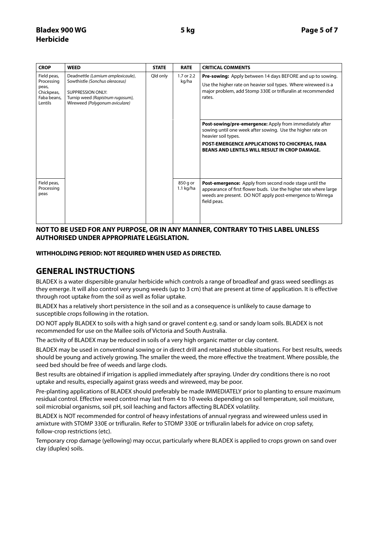## **Bladex 900 WG 5 kg Page 5 of 7 Herbicide**

| <b>CROP</b>                                                                | <b>WEED</b>                                                                                                                                                           | <b>STATE</b> | <b>RATE</b>             | <b>CRITICAL COMMENTS</b>                                                                                                                                                                                                                               |
|----------------------------------------------------------------------------|-----------------------------------------------------------------------------------------------------------------------------------------------------------------------|--------------|-------------------------|--------------------------------------------------------------------------------------------------------------------------------------------------------------------------------------------------------------------------------------------------------|
| Field peas,<br>Processing<br>peas,<br>Chickpeas,<br>Faba beans.<br>Lentils | Deadnettle (Lamium amplexicaule),<br>Sowthistle (Sonchus oleraceus)<br><b>SUPPRESSION ONLY:</b><br>Turnip weed (Rapistrum rugosum),<br>Wireweed (Polygonum aviculare) | Qld only     | 1.7 or 2.2<br>kg/ha     | <b>Pre-sowing:</b> Apply between 14 days BEFORE and up to sowing.<br>Use the higher rate on heavier soil types. Where wireweed is a<br>major problem, add Stomp 330E or trifluralin at recommended<br>rates.                                           |
|                                                                            |                                                                                                                                                                       |              |                         | Post-sowing/pre-emergence: Apply from immediately after<br>sowing until one week after sowing. Use the higher rate on<br>heavier soil types.<br>POST-EMERGENCE APPLICATIONS TO CHICKPEAS, FABA<br><b>BEANS AND LENTILS WILL RESULT IN CROP DAMAGE.</b> |
| Field peas,<br>Processing<br>peas                                          |                                                                                                                                                                       |              | 850 g or<br>$1.1$ kg/ha | <b>Post-emergence:</b> Apply from second node stage until the<br>appearance of first flower buds. Use the higher rate where large<br>weeds are present. DO NOT apply post-emergence to Wirrega<br>field peas.                                          |

### **NOT TO BE USED FOR ANY PURPOSE, OR IN ANY MANNER, CONTRARY TO THIS LABEL UNLESS AUTHORISED UNDER APPROPRIATE LEGISLATION.**

### **WITHHOLDING PERIOD: NOT REQUIRED WHEN USED AS DIRECTED.**

# **GENERAL INSTRUCTIONS**

BLADEX is a water dispersible granular herbicide which controls a range of broadleaf and grass weed seedlings as they emerge. It will also control very young weeds (up to 3 cm) that are present at time of application. It is effective through root uptake from the soil as well as foliar uptake.

BLADEX has a relatively short persistence in the soil and as a consequence is unlikely to cause damage to susceptible crops following in the rotation.

DO NOT apply BLADEX to soils with a high sand or gravel content e.g. sand or sandy loam soils. BLADEX is not recommended for use on the Mallee soils of Victoria and South Australia.

The activity of BLADEX may be reduced in soils of a very high organic matter or clay content.

BLADEX may be used in conventional sowing or in direct drill and retained stubble situations. For best results, weeds should be young and actively growing. The smaller the weed, the more effective the treatment. Where possible, the seed bed should be free of weeds and large clods.

Best results are obtained if irrigation is applied immediately after spraying. Under dry conditions there is no root uptake and results, especially against grass weeds and wireweed, may be poor.

Pre-planting applications of BLADEX should preferably be made IMMEDIATELY prior to planting to ensure maximum residual control. Effective weed control may last from 4 to 10 weeks depending on soil temperature, soil moisture, soil microbial organisms, soil pH, soil leaching and factors affecting BLADEX volatility.

BLADEX is NOT recommended for control of heavy infestations of annual ryegrass and wireweed unless used in amixture with STOMP 330E or trifluralin. Refer to STOMP 330E or trifluralin labels for advice on crop safety, follow-crop restrictions (etc).

Temporary crop damage (yellowing) may occur, particularly where BLADEX is applied to crops grown on sand over clay (duplex) soils.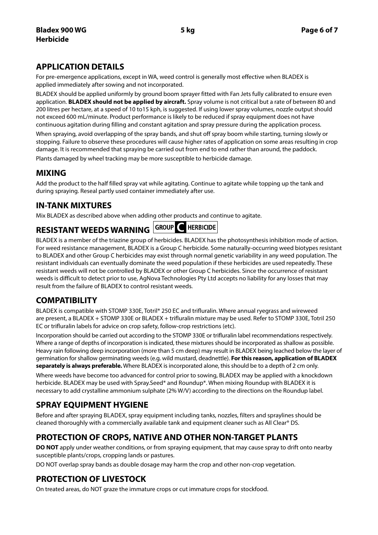# **APPLICATION DETAILS**

For pre-emergence applications, except in WA, weed control is generally most effective when BLADEX is applied immediately after sowing and not incorporated.

BLADEX should be applied uniformly by ground boom sprayer fitted with Fan Jets fully calibrated to ensure even application. **BLADEX should not be applied by aircraft.** Spray volume is not critical but a rate of between 80 and 200 litres per hectare, at a speed of 10 to15 kph, is suggested. If using lower spray volumes, nozzle output should not exceed 600 mL/minute. Product performance is likely to be reduced if spray equipment does not have continuous agitation during filling and constant agitation and spray pressure during the application process.

When spraying, avoid overlapping of the spray bands, and shut off spray boom while starting, turning slowly or stopping. Failure to observe these procedures will cause higher rates of application on some areas resulting in crop damage. It is recommended that spraying be carried out from end to end rather than around, the paddock.

Plants damaged by wheel tracking may be more susceptible to herbicide damage.

# **MIXING**

Add the product to the half filled spray vat while agitating. Continue to agitate while topping up the tank and during spraying. Reseal partly used container immediately after use.

# **IN-TANK MIXTURES**

Mix BLADEX as described above when adding other products and continue to agitate.

# **RESISTANT WEEDS WARNING** GROUP C HERBICIDE

BLADEX is a member of the triazine group of herbicides. BLADEX has the photosynthesis inhibition mode of action. For weed resistance management, BLADEX is a Group C herbicide. Some naturally-occurring weed biotypes resistant to BLADEX and other Group C herbicides may exist through normal genetic variability in any weed population. The resistant individuals can eventually dominate the weed population if these herbicides are used repeatedly. These resistant weeds will not be controlled by BLADEX or other Group C herbicides. Since the occurrence of resistant weeds is difficult to detect prior to use, AgNova Technologies Pty Ltd accepts no liability for any losses that may result from the failure of BLADEX to control resistant weeds.

# **COMPATIBILITY**

BLADEX is compatible with STOMP 330E, Totril\* 250 EC and trifluralin. Where annual ryegrass and wireweed are present, a BLADEX + STOMP 330E or BLADEX + trifluralin mixture may be used. Refer to STOMP 330E, Totril 250 EC or trifluralin labels for advice on crop safety, follow-crop restrictions (etc).

Incorporation should be carried out according to the STOMP 330E or trifluralin label recommendations respectively. Where a range of depths of incorporation is indicated, these mixtures should be incorporated as shallow as possible. Heavy rain following deep incorporation (more than 5 cm deep) may result in BLADEX being leached below the layer of germination for shallow germinating weeds (e.g. wild mustard, deadnettle). **For this reason, application of BLADEX separately is always preferable.** Where BLADEX is incorporated alone, this should be to a depth of 2 cm only.

Where weeds have become too advanced for control prior to sowing, BLADEX may be applied with a knockdown herbicide. BLADEX may be used with Spray.Seed\* and Roundup\*. When mixing Roundup with BLADEX it is necessary to add crystalline ammonium sulphate (2% W/V) according to the directions on the Roundup label.

# **SPRAY EQUIPMENT HYGIENE**

Before and after spraying BLADEX, spray equipment including tanks, nozzles, filters and spraylines should be cleaned thoroughly with a commercially available tank and equipment cleaner such as All Clear® DS.

# **PROTECTION OF CROPS, NATIVE AND OTHER NON-TARGET PLANTS**

**DO NOT** apply under weather conditions, or from spraying equipment, that may cause spray to drift onto nearby susceptible plants/crops, cropping lands or pastures.

DO NOT overlap spray bands as double dosage may harm the crop and other non-crop vegetation.

# **PROTECTION OF LIVESTOCK**

On treated areas, do NOT graze the immature crops or cut immature crops for stockfood.